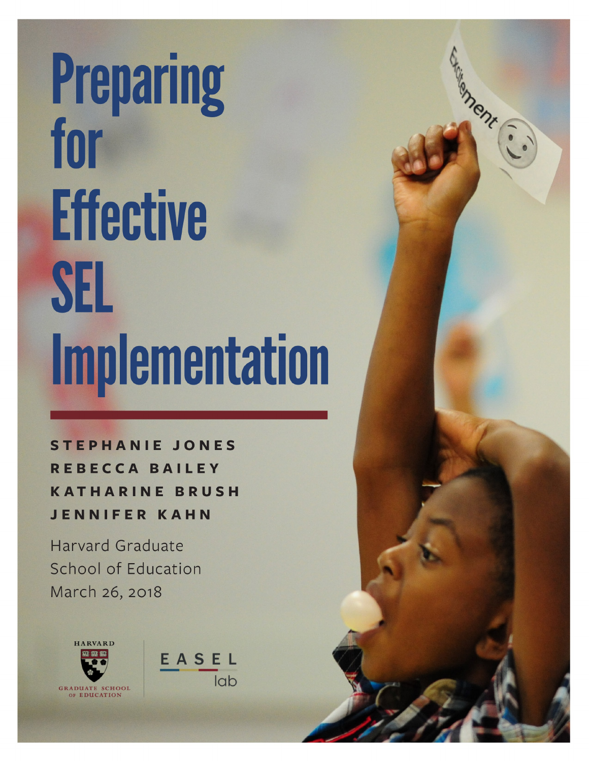# **Preparing<br>for Effective** SEL **Implementation**

High Chr.

**STEPHANIE JONES** REBECCA BAILEY **KATHARINE BRUSH JENNIFER KAHN** 

**Harvard Graduate** School of Education March 26, 2018



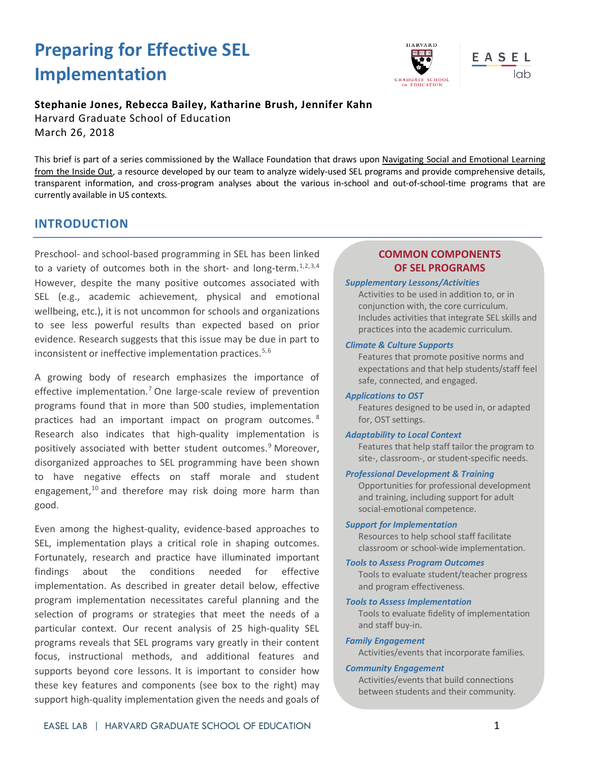# **Preparing for Effective SEL Implementation**



#### **Stephanie Jones, Rebecca Bailey, Katharine Brush, Jennifer Kahn**

Harvard Graduate School of Education March 26, 2018

This brief is part of a series commissioned by the Wallace Foundation that draws upon [Navigating Social and Emotional Learning](http://www.wallacefoundation.org/knowledge-center/Pages/Navigating-Social-and-Emotional-Learning-from-the-Inside-Out.aspx)  [from the Inside Out,](http://www.wallacefoundation.org/knowledge-center/Pages/Navigating-Social-and-Emotional-Learning-from-the-Inside-Out.aspx) a resource developed by our team to analyze widely-used SEL programs and provide comprehensive details, transparent information, and cross-program analyses about the various in-school and out-of-school-time programs that are currently available in US contexts.

# **INTRODUCTION**

Preschool- and school-based programming in SEL has been linked to a variety of outcomes both in the short- and long-term. $1,2,3,4$  $1,2,3,4$  $1,2,3,4$  $1,2,3,4$ However, despite the many positive outcomes associated with SEL (e.g., academic achievement, physical and emotional wellbeing, etc.), it is not uncommon for schools and organizations to see less powerful results than expected based on prior evidence. Research suggests that this issue may be due in part to inconsistent or ineffective implementation practices.<sup>[5,](#page-7-3)[6](#page-7-4)</sup>

A growing body of research emphasizes the importance of effective implementation.<sup>[7](#page-7-5)</sup> One large-scale review of prevention programs found that in more than 500 studies, implementation practices had an important impact on program outcomes. [8](#page-7-6) Research also indicates that high-quality implementation is positively associated with better student outcomes.<sup>[9](#page-7-7)</sup> Moreover, disorganized approaches to SEL programming have been shown to have negative effects on staff morale and student engagement, $10$  and therefore may risk doing more harm than good.

Even among the highest-quality, evidence-based approaches to SEL, implementation plays a critical role in shaping outcomes. Fortunately, research and practice have illuminated important findings about the conditions needed for effective implementation. As described in greater detail below, effective program implementation necessitates careful planning and the selection of programs or strategies that meet the needs of a particular context. Our recent analysis of 25 high-quality SEL programs reveals that SEL programs vary greatly in their content focus, instructional methods, and additional features and supports beyond core lessons. It is important to consider how these key features and components (see box to the right) may support high-quality implementation given the needs and goals of

## **COMMON COMPONENTS OF SEL PROGRAMS**

#### *Supplementary Lessons/Activities*

Activities to be used in addition to, or in conjunction with, the core curriculum. Includes activities that integrate SEL skills and practices into the academic curriculum.

#### *Climate & Culture Supports*

Features that promote positive norms and expectations and that help students/staff feel safe, connected, and engaged.

#### *Applications to OST*

Features designed to be used in, or adapted for, OST settings.

#### *Adaptability to Local Context*

Features that help staff tailor the program to site-, classroom-, or student-specific needs.

#### *Professional Development & Training*

Opportunities for professional development and training, including support for adult social-emotional competence.

#### *Support for Implementation*

Resources to help school staff facilitate classroom or school-wide implementation.

#### *Tools to Assess Program Outcomes*

Tools to evaluate student/teacher progress and program effectiveness.

*Tools to Assess Implementation*

Tools to evaluate fidelity of implementation and staff buy-in.

#### *Family Engagement*

Activities/events that incorporate families.

#### *Community Engagement*

Activities/events that build connections between students and their community.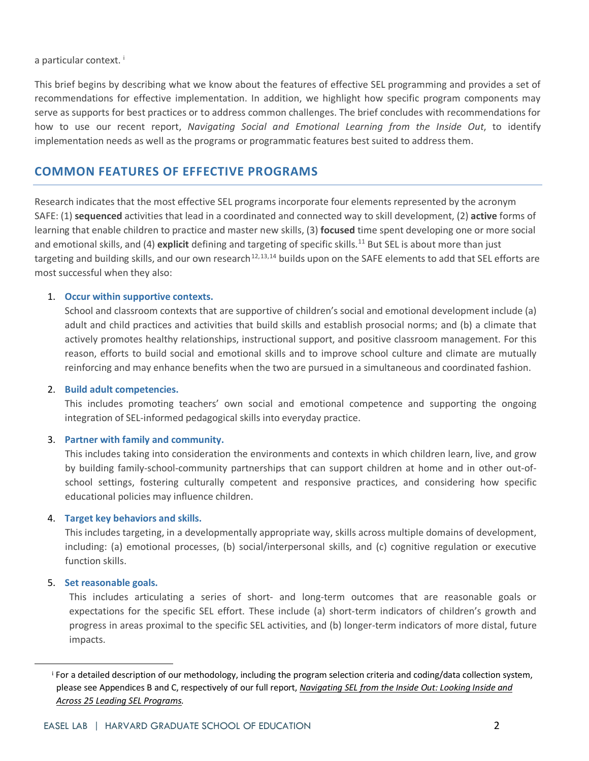a part[i](#page-2-0)cular context.<sup>1</sup>

This brief begins by describing what we know about the features of effective SEL programming and provides a set of recommendations for effective implementation. In addition, we highlight how specific program components may serve as supports for best practices or to address common challenges. The brief concludes with recommendations for how to use our recent report, *Navigating Social and Emotional Learning from the Inside Out*, to identify implementation needs as well as the programs or programmatic features best suited to address them.

# **COMMON FEATURES OF EFFECTIVE PROGRAMS**

Research indicates that the most effective SEL programs incorporate four elements represented by the acronym SAFE: (1) **sequenced** activities that lead in a coordinated and connected way to skill development, (2) **active** forms of learning that enable children to practice and master new skills, (3) **focused** time spent developing one or more social and emotional skills, and (4) explicit defining and targeting of specific skills.<sup>11</sup> But SEL is about more than just targeting and building skills, and our own research<sup>[12,](#page-7-10)[13](#page-7-11),[14](#page-7-12)</sup> builds upon on the SAFE elements to add that SEL efforts are most successful when they also:

#### 1. **Occur within supportive contexts.**

School and classroom contexts that are supportive of children's social and emotional development include (a) adult and child practices and activities that build skills and establish prosocial norms; and (b) a climate that actively promotes healthy relationships, instructional support, and positive classroom management. For this reason, efforts to build social and emotional skills and to improve school culture and climate are mutually reinforcing and may enhance benefits when the two are pursued in a simultaneous and coordinated fashion.

#### 2. **Build adult competencies.**

This includes promoting teachers' own social and emotional competence and supporting the ongoing integration of SEL-informed pedagogical skills into everyday practice.

#### 3. **Partner with family and community.**

This includes taking into consideration the environments and contexts in which children learn, live, and grow by building family-school-community partnerships that can support children at home and in other out-ofschool settings, fostering culturally competent and responsive practices, and considering how specific educational policies may influence children.

#### 4. **Target key behaviors and skills.**

This includes targeting, in a developmentally appropriate way, skills across multiple domains of development, including: (a) emotional processes, (b) social/interpersonal skills, and (c) cognitive regulation or executive function skills.

#### 5. **Set reasonable goals.**

This includes articulating a series of short- and long-term outcomes that are reasonable goals or expectations for the specific SEL effort. These include (a) short-term indicators of children's growth and progress in areas proximal to the specific SEL activities, and (b) longer-term indicators of more distal, future impacts.

<span id="page-2-0"></span><sup>&</sup>lt;sup>i</sup> For a detailed description of our methodology, including the program selection criteria and coding/data collection system, please see Appendices B and C, respectively of our full report, *[Navigating SEL from the Inside Out: Looking Inside and](http://www.wallacefoundation.org/knowledge-center/Pages/Navigating-Social-and-Emotional-Learning-from-the-Inside-Out.aspx)  [Across 25 Leading SEL Programs.](http://www.wallacefoundation.org/knowledge-center/Pages/Navigating-Social-and-Emotional-Learning-from-the-Inside-Out.aspx)*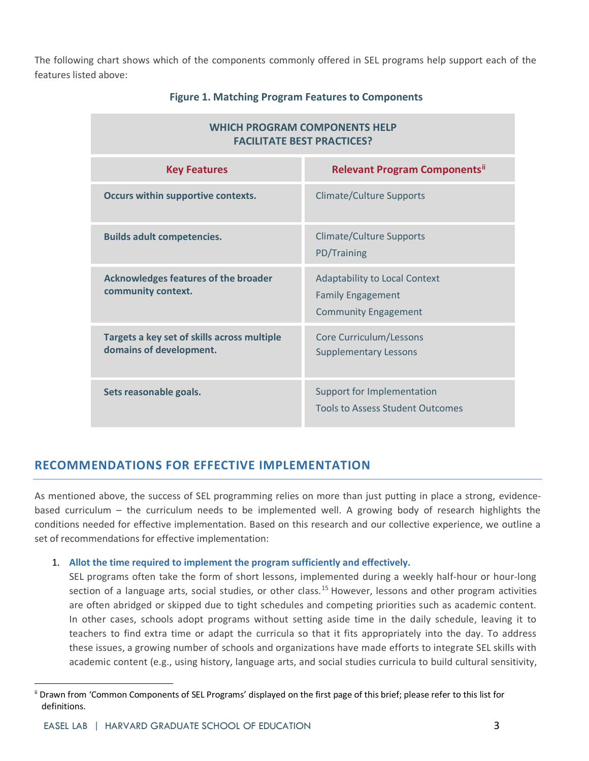The following chart shows which of the components commonly offered in SEL programs help support each of the features listed above:

| <b>WHICH PROGRAM COMPONENTS HELP</b><br><b>FACILITATE BEST PRACTICES?</b> |                                                                                                 |
|---------------------------------------------------------------------------|-------------------------------------------------------------------------------------------------|
| <b>Key Features</b>                                                       | <b>Relevant Program Components</b> "                                                            |
| Occurs within supportive contexts.                                        | <b>Climate/Culture Supports</b>                                                                 |
| <b>Builds adult competencies.</b>                                         | <b>Climate/Culture Supports</b><br>PD/Training                                                  |
| <b>Acknowledges features of the broader</b><br>community context.         | <b>Adaptability to Local Context</b><br><b>Family Engagement</b><br><b>Community Engagement</b> |
| Targets a key set of skills across multiple<br>domains of development.    | Core Curriculum/Lessons<br><b>Supplementary Lessons</b>                                         |
| Sets reasonable goals.                                                    | Support for Implementation<br><b>Tools to Assess Student Outcomes</b>                           |

#### **Figure 1. Matching Program Features to Components**

# **RECOMMENDATIONS FOR EFFECTIVE IMPLEMENTATION**

As mentioned above, the success of SEL programming relies on more than just putting in place a strong, evidencebased curriculum – the curriculum needs to be implemented well. A growing body of research highlights the conditions needed for effective implementation. Based on this research and our collective experience, we outline a set of recommendations for effective implementation:

#### 1. **Allot the time required to implement the program sufficiently and effectively.**

SEL programs often take the form of short lessons, implemented during a weekly half-hour or hour-long section of a language arts, social studies, or other class.<sup>[15](#page-7-13)</sup> However, lessons and other program activities are often abridged or skipped due to tight schedules and competing priorities such as academic content. In other cases, schools adopt programs without setting aside time in the daily schedule, leaving it to teachers to find extra time or adapt the curricula so that it fits appropriately into the day. To address these issues, a growing number of schools and organizations have made efforts to integrate SEL skills with academic content (e.g., using history, language arts, and social studies curricula to build cultural sensitivity,

<span id="page-3-0"></span>ii Drawn from 'Common Components of SEL Programs' displayed on the first page of this brief; please refer to this list for definitions.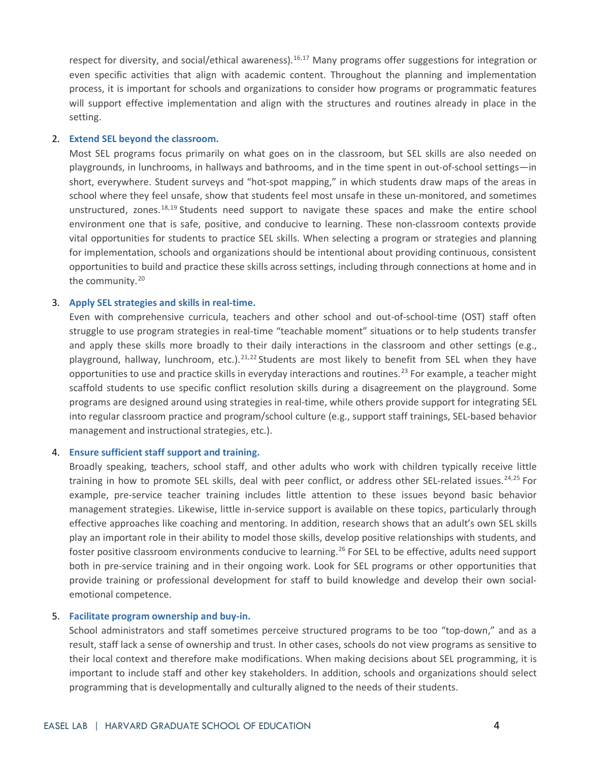respect for diversity, and social/ethical awareness).<sup>[16](#page-7-14),[17](#page-7-15)</sup> Many programs offer suggestions for integration or even specific activities that align with academic content. Throughout the planning and implementation process, it is important for schools and organizations to consider how programs or programmatic features will support effective implementation and align with the structures and routines already in place in the setting.

#### 2. **Extend SEL beyond the classroom.**

Most SEL programs focus primarily on what goes on in the classroom, but SEL skills are also needed on playgrounds, in lunchrooms, in hallways and bathrooms, and in the time spent in out-of-school settings—in short, everywhere. Student surveys and "hot-spot mapping," in which students draw maps of the areas in school where they feel unsafe, show that students feel most unsafe in these un-monitored, and sometimes unstructured, zones.<sup>[18,](#page-7-16)[19](#page-7-17)</sup> Students need support to navigate these spaces and make the entire school environment one that is safe, positive, and conducive to learning. These non-classroom contexts provide vital opportunities for students to practice SEL skills. When selecting a program or strategies and planning for implementation, schools and organizations should be intentional about providing continuous, consistent opportunities to build and practice these skills across settings, including through connections at home and in the community.<sup>[20](#page-8-0)</sup>

#### 3. **Apply SEL strategies and skills in real-time.**

Even with comprehensive curricula, teachers and other school and out-of-school-time (OST) staff often struggle to use program strategies in real-time "teachable moment" situations or to help students transfer and apply these skills more broadly to their daily interactions in the classroom and other settings (e.g., playground, hallway, lunchroom, etc.).<sup>[21,](#page-8-1)[22](#page-8-2)</sup> Students are most likely to benefit from SEL when they have opportunities to use and practice skills in everyday interactions and routines.<sup>[23](#page-8-3)</sup> For example, a teacher might scaffold students to use specific conflict resolution skills during a disagreement on the playground. Some programs are designed around using strategies in real-time, while others provide support for integrating SEL into regular classroom practice and program/school culture (e.g., support staff trainings, SEL-based behavior management and instructional strategies, etc.).

#### 4. **Ensure sufficient staff support and training.**

Broadly speaking, teachers, school staff, and other adults who work with children typically receive little training in how to promote SEL skills, deal with peer conflict, or address other SEL-related issues.<sup>[24,](#page-8-4)[25](#page-8-5)</sup> For example, pre-service teacher training includes little attention to these issues beyond basic behavior management strategies. Likewise, little in-service support is available on these topics, particularly through effective approaches like coaching and mentoring. In addition, research shows that an adult's own SEL skills play an important role in their ability to model those skills, develop positive relationships with students, and foster positive classroom environments conducive to learning.<sup>[26](#page-8-6)</sup> For SEL to be effective, adults need support both in pre-service training and in their ongoing work. Look for SEL programs or other opportunities that provide training or professional development for staff to build knowledge and develop their own socialemotional competence.

#### 5. **Facilitate program ownership and buy-in.**

School administrators and staff sometimes perceive structured programs to be too "top-down," and as a result, staff lack a sense of ownership and trust. In other cases, schools do not view programs as sensitive to their local context and therefore make modifications. When making decisions about SEL programming, it is important to include staff and other key stakeholders. In addition, schools and organizations should select programming that is developmentally and culturally aligned to the needs of their students.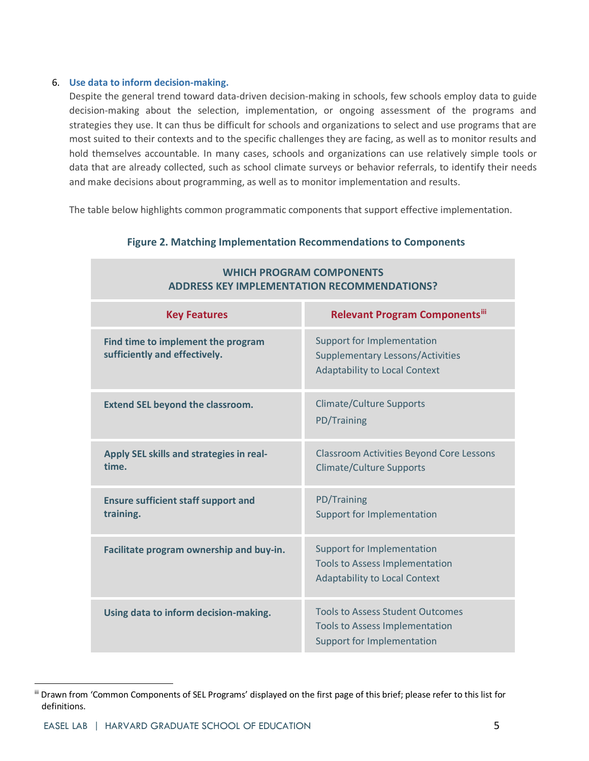#### 6. **Use data to inform decision-making.**

Despite the general trend toward data-driven decision-making in schools, few schools employ data to guide decision-making about the selection, implementation, or ongoing assessment of the programs and strategies they use. It can thus be difficult for schools and organizations to select and use programs that are most suited to their contexts and to the specific challenges they are facing, as well as to monitor results and hold themselves accountable. In many cases, schools and organizations can use relatively simple tools or data that are already collected, such as school climate surveys or behavior referrals, to identify their needs and make decisions about programming, as well as to monitor implementation and results.

The table below highlights common programmatic components that support effective implementation.

| ICH FROGRAM COMFONLIVIO<br><b>ADDRESS KEY IMPLEMENTATION RECOMMENDATIONS?</b> |                                                                                                                      |
|-------------------------------------------------------------------------------|----------------------------------------------------------------------------------------------------------------------|
| <b>Key Features</b>                                                           | <b>Relevant Program Componentsiii</b>                                                                                |
| Find time to implement the program<br>sufficiently and effectively.           | <b>Support for Implementation</b><br><b>Supplementary Lessons/Activities</b><br><b>Adaptability to Local Context</b> |
| <b>Extend SEL beyond the classroom.</b>                                       | <b>Climate/Culture Supports</b><br>PD/Training                                                                       |
| Apply SEL skills and strategies in real-<br>time.                             | <b>Classroom Activities Beyond Core Lessons</b><br><b>Climate/Culture Supports</b>                                   |
| <b>Ensure sufficient staff support and</b><br>training.                       | PD/Training<br>Support for Implementation                                                                            |
| Facilitate program ownership and buy-in.                                      | <b>Support for Implementation</b><br><b>Tools to Assess Implementation</b><br><b>Adaptability to Local Context</b>   |
| Using data to inform decision-making.                                         | <b>Tools to Assess Student Outcomes</b><br><b>Tools to Assess Implementation</b><br>Support for Implementation       |

#### **Figure 2. Matching Implementation Recommendations to Components**

**WHICH PROGRAM COMPONENTS**

<span id="page-5-0"></span>iii Drawn from 'Common Components of SEL Programs' displayed on the first page of this brief; please refer to this list for definitions.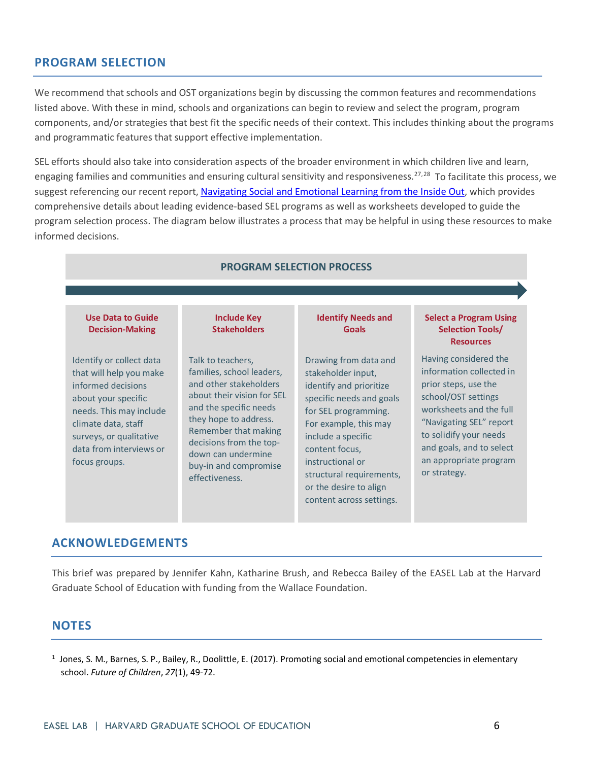# **PROGRAM SELECTION**

We recommend that schools and OST organizations begin by discussing the common features and recommendations listed above. With these in mind, schools and organizations can begin to review and select the program, program components, and/or strategies that best fit the specific needs of their context. This includes thinking about the programs and programmatic features that support effective implementation.

SEL efforts should also take into consideration aspects of the broader environment in which children live and learn, engaging families and communities and ensuring cultural sensitivity and responsiveness.<sup>[27,](#page-8-7)28</sup> To facilitate this process, we suggest referencing our recent report, [Navigating Social and Emotional Learning from the Inside Out,](http://www.wallacefoundation.org/knowledge-center/Pages/Navigating-Social-and-Emotional-Learning-from-the-Inside-Out.aspx) which provides comprehensive details about leading evidence-based SEL programs as well as worksheets developed to guide the program selection process. The diagram below illustrates a process that may be helpful in using these resources to make informed decisions.

#### **PROGRAM SELECTION PROCESS**

#### **Use Data to Guide Decision-Making**

Identify or collect data that will help you make informed decisions about your specific needs. This may include climate data, staff surveys, or qualitative data from interviews or focus groups.

Talk to teachers, families, school leaders, and other stakeholders about their vision for SEL and the specific needs they hope to address. Remember that making decisions from the topdown can undermine buy-in and compromise effectiveness.

**Include Key Stakeholders**

#### **Identify Needs and Goals**

Drawing from data and stakeholder input, identify and prioritize specific needs and goals for SEL programming. For example, this may include a specific content focus, instructional or structural requirements, or the desire to align content across settings.

#### **Select a Program Using Selection Tools/ Resources**

Having considered the information collected in prior steps, use the school/OST settings worksheets and the full "Navigating SEL" report to solidify your needs and goals, and to select an appropriate program or strategy.

### **ACKNOWLEDGEMENTS**

This brief was prepared by Jennifer Kahn, Katharine Brush, and Rebecca Bailey of the EASEL Lab at the Harvard Graduate School of Education with funding from the Wallace Foundation.

# **NOTES**

<span id="page-6-0"></span><sup>1</sup> Jones, S. M., Barnes, S. P., Bailey, R., Doolittle, E. (2017). Promoting social and emotional competencies in elementary school. *Future of Children*, *27*(1), 49-72.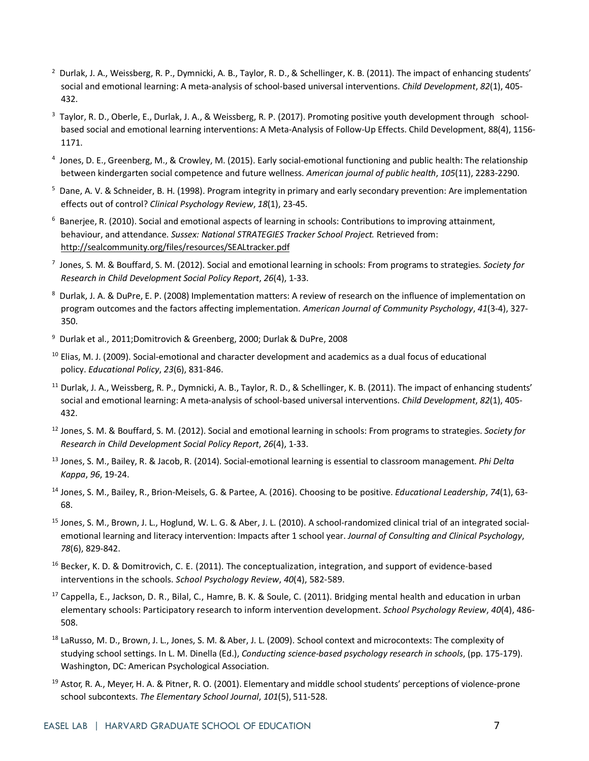- <span id="page-7-0"></span> $2$  Durlak, J. A., Weissberg, R. P., Dymnicki, A. B., Taylor, R. D., & Schellinger, K. B. (2011). The impact of enhancing students' social and emotional learning: A meta-analysis of school-based universal interventions. *Child Development*, *82*(1), 405- 432.
- <span id="page-7-1"></span> $3$  Taylor, R. D., Oberle, E., Durlak, J. A., & Weissberg, R. P. (2017). Promoting positive youth development through schoolbased social and emotional learning interventions: A Meta-Analysis of Follow-Up Effects. Child Development, 88(4), 1156- 1171.
- <span id="page-7-2"></span><sup>4</sup> Jones, D. E., Greenberg, M., & Crowley, M. (2015). Early social-emotional functioning and public health: The relationship between kindergarten social competence and future wellness. *American journal of public health*, *105*(11), 2283-2290.
- <span id="page-7-3"></span><sup>5</sup> Dane, A. V. & Schneider, B. H. (1998). Program integrity in primary and early secondary prevention: Are implementation effects out of control? *Clinical Psychology Review*, *18*(1), 23-45.
- <span id="page-7-4"></span><sup>6</sup> Banerjee, R. (2010). Social and emotional aspects of learning in schools: Contributions to improving attainment, behaviour, and attendance. *Sussex: National STRATEGIES Tracker School Project.* Retrieved from: <http://sealcommunity.org/files/resources/SEALtracker.pdf>
- <span id="page-7-5"></span><sup>7</sup> Jones, S. M. & Bouffard, S. M. (2012). Social and emotional learning in schools: From programs to strategies. *Society for Research in Child Development Social Policy Report*, *26*(4), 1-33.
- <span id="page-7-6"></span>8 Durlak, J. A. & DuPre, E. P. (2008) Implementation matters: A review of research on the influence of implementation on program outcomes and the factors affecting implementation. *American Journal of Community Psychology*, *41*(3-4), 327- 350.
- <span id="page-7-7"></span><sup>9</sup> Durlak et al., 2011;Domitrovich & Greenberg, 2000; Durlak & DuPre, 2008
- <span id="page-7-8"></span><sup>10</sup> Elias, M. J. (2009). Social-emotional and character development and academics as a dual focus of educational policy. *Educational Policy*, *23*(6), 831-846.
- <span id="page-7-9"></span><sup>11</sup> Durlak, J. A., Weissberg, R. P., Dymnicki, A. B., Taylor, R. D., & Schellinger, K. B. (2011). The impact of enhancing students' social and emotional learning: A meta-analysis of school-based universal interventions. *Child Development*, *82*(1), 405- 432.
- <span id="page-7-10"></span><sup>12</sup> Jones, S. M. & Bouffard, S. M. (2012). Social and emotional learning in schools: From programs to strategies. *Society for Research in Child Development Social Policy Report*, *26*(4), 1-33.
- <span id="page-7-11"></span><sup>13</sup> Jones, S. M., Bailey, R. & Jacob, R. (2014). Social-emotional learning is essential to classroom management. *Phi Delta Kappa*, *96*, 19-24.
- <span id="page-7-12"></span><sup>14</sup> Jones, S. M., Bailey, R., Brion-Meisels, G. & Partee, A. (2016). Choosing to be positive. *Educational Leadership*, *74*(1), 63- 68.
- <span id="page-7-13"></span><sup>15</sup> Jones, S. M., Brown, J. L., Hoglund, W. L. G. & Aber, J. L. (2010). A school-randomized clinical trial of an integrated socialemotional learning and literacy intervention: Impacts after 1 school year. *Journal of Consulting and Clinical Psychology*, *78*(6), 829-842.
- <span id="page-7-14"></span><sup>16</sup> Becker, K. D. & Domitrovich, C. E. (2011). The conceptualization, integration, and support of evidence-based interventions in the schools. *School Psychology Review*, *40*(4), 582-589.
- <span id="page-7-15"></span><sup>17</sup> Cappella, E., Jackson, D. R., Bilal, C., Hamre, B. K. & Soule, C. (2011). Bridging mental health and education in urban elementary schools: Participatory research to inform intervention development. *School Psychology Review*, *40*(4), 486- 508.
- <span id="page-7-16"></span><sup>18</sup> LaRusso, M. D., Brown, J. L., Jones, S. M. & Aber, J. L. (2009). School context and microcontexts: The complexity of studying school settings. In L. M. Dinella (Ed.), *Conducting science-based psychology research in schools*, (pp. 175-179). Washington, DC: American Psychological Association.
- <span id="page-7-17"></span><sup>19</sup> Astor, R. A., Meyer, H. A. & Pitner, R. O. (2001). Elementary and middle school students' perceptions of violence-prone school subcontexts. *The Elementary School Journal*, *101*(5), 511-528.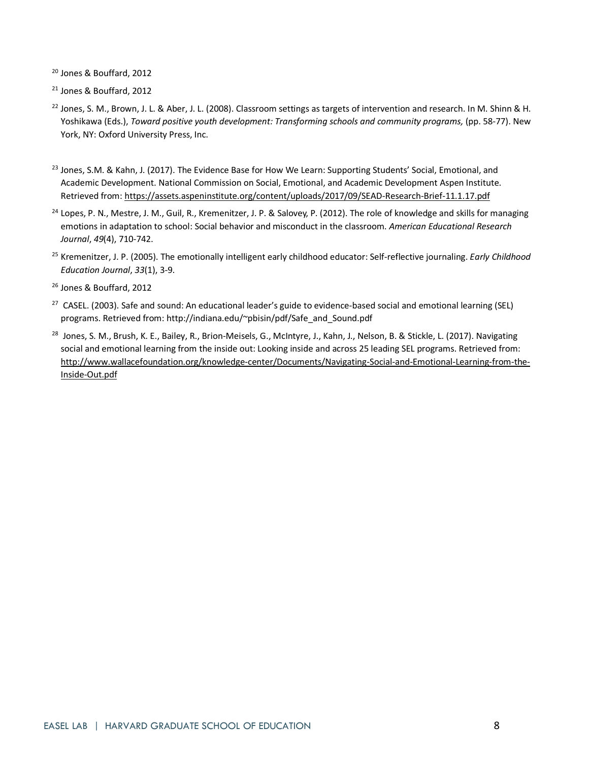<span id="page-8-0"></span><sup>20</sup> Jones & Bouffard, 2012

<span id="page-8-1"></span><sup>21</sup> Jones & Bouffard, 2012

- <span id="page-8-2"></span><sup>22</sup> Jones, S. M., Brown, J. L. & Aber, J. L. (2008). Classroom settings as targets of intervention and research. In M. Shinn & H. Yoshikawa (Eds.), *Toward positive youth development: Transforming schools and community programs, (pp. 58-77)*. New York, NY: Oxford University Press, Inc.
- <span id="page-8-3"></span><sup>23</sup> Jones, S.M. & Kahn, J. (2017). The Evidence Base for How We Learn: Supporting Students' Social, Emotional, and Academic Development. National Commission on Social, Emotional, and Academic Development Aspen Institute. Retrieved from[: https://assets.aspeninstitute.org/content/uploads/2017/09/SEAD-Research-Brief-11.1.17.pdf](https://assets.aspeninstitute.org/content/uploads/2017/09/SEAD-Research-Brief-11.1.17.pdf)
- <span id="page-8-4"></span><sup>24</sup> Lopes, P. N., Mestre, J. M., Guil, R., Kremenitzer, J. P. & Salovey, P. (2012). The role of knowledge and skills for managing emotions in adaptation to school: Social behavior and misconduct in the classroom. *American Educational Research Journal*, *49*(4), 710-742.
- <span id="page-8-5"></span><sup>25</sup> Kremenitzer, J. P. (2005). The emotionally intelligent early childhood educator: Self-reflective journaling. *Early Childhood Education Journal*, *33*(1), 3-9.
- <span id="page-8-6"></span><sup>26</sup> Jones & Bouffard, 2012
- <span id="page-8-7"></span><sup>27</sup> CASEL. (2003). Safe and sound: An educational leader's guide to evidence-based social and emotional learning (SEL) programs. Retrieved from: http://indiana.edu/~pbisin/pdf/Safe\_and\_Sound.pdf
- <span id="page-8-8"></span><sup>28</sup> Jones, S. M., Brush, K. E., Bailey, R., Brion-Meisels, G., McIntyre, J., Kahn, J., Nelson, B. & Stickle, L. (2017). Navigating social and emotional learning from the inside out: Looking inside and across 25 leading SEL programs. Retrieved from: [http://www.wallacefoundation.org/knowledge-center/Documents/Navigating-Social-and-Emotional-Learning-from-the-](http://www.wallacefoundation.org/knowledge-center/Documents/Navigating-Social-and-Emotional-Learning-from-the-Inside-Out.pdf)[Inside-Out.pdf](http://www.wallacefoundation.org/knowledge-center/Documents/Navigating-Social-and-Emotional-Learning-from-the-Inside-Out.pdf)